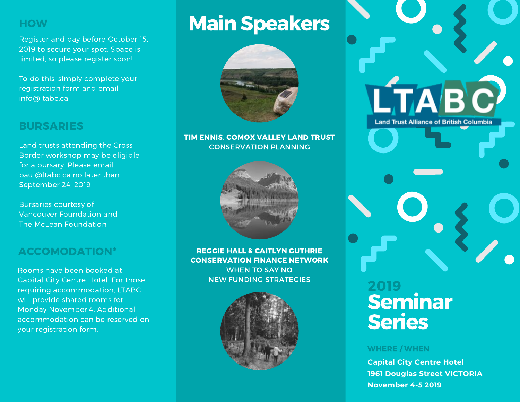## **HOW**

Register and pay before October 15, 2019 to secure your spot. Space is limited, so please register soon!

To do this, simply complete your registration form and email info@ltabc.ca

## BURSARIES

Land trusts attending the Cross Border workshop may be eligible for a bursary. Please email paul@ltabc.ca no later than September 24, 2019

Bursaries courtesy of Vancouver Foundation and The McLean Foundation

# ACCOMODATION\*

Rooms have been booked at Capital City Centre Hotel. For those requiring accommodation, LTABC will provide shared rooms for Monday November 4. Additional accommodation can be reserved on your registration form.

# **Main Speakers**



## TIM ENNIS, COMOX VALLEY LAND TRUST CONSERVATION PLANNING



REGGIE HALL & CAITLYN GUTHRIE CONSERVATION FINANCE NETWORK WHEN TO SAY NO NEW FUNDING STRATEGIES



# Seminar Series 2019

## WHERE / WHEN

**Capital City Centre Hotel 1961 Douglas Street VICTORIA November 4-5 2019**

LTABC

**Land Trust Alliance of British Columbia**